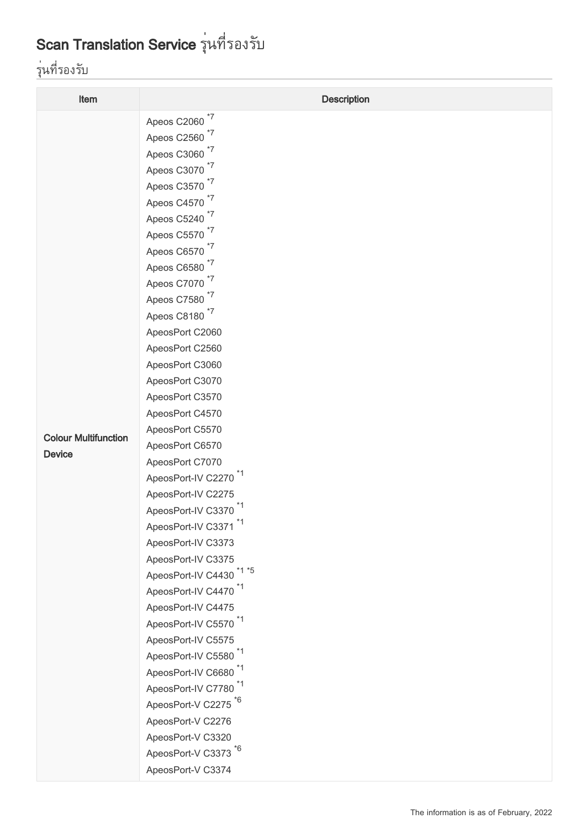## Scan Translation Service รุ่นที่รองรับ

## รุ่นที่รองรับ

| Item                        | <b>Description</b>                  |
|-----------------------------|-------------------------------------|
|                             | Apeos C2060 $17$                    |
|                             | Apeos C2560 *7                      |
|                             | Apeos C3060 <sup>*7</sup>           |
|                             | Apeos C3070 <sup>*7</sup>           |
|                             | Apeos C3570 <sup>*7</sup>           |
|                             | Apeos C4570 *7                      |
|                             | Apeos C5240 <sup>*7</sup>           |
|                             | Apeos C5570 <sup>*7</sup>           |
|                             | Apeos C6570 <sup>*7</sup>           |
|                             | Apeos C6580 <sup>*7</sup>           |
|                             | Apeos C7070 <sup>*7</sup>           |
|                             | Apeos C7580 <sup>*7</sup>           |
|                             | Apeos C8180 <sup>*7</sup>           |
|                             | ApeosPort C2060                     |
|                             | ApeosPort C2560                     |
|                             | ApeosPort C3060                     |
|                             | ApeosPort C3070                     |
|                             | ApeosPort C3570                     |
|                             | ApeosPort C4570                     |
| <b>Colour Multifunction</b> | ApeosPort C5570                     |
| <b>Device</b>               | ApeosPort C6570                     |
|                             | ApeosPort C7070                     |
|                             | ApeosPort-IV C2270 <sup>*1</sup>    |
|                             | ApeosPort-IV C2275                  |
|                             | ApeosPort-IV C3370 <sup>*1</sup>    |
|                             | ApeosPort-IV C3371 <sup>*1</sup>    |
|                             | ApeosPort-IV C3373                  |
|                             | ApeosPort-IV C3375                  |
|                             | ApeosPort-IV C4430 <sup>*1 *5</sup> |
|                             | ApeosPort-IV C4470 <sup>*1</sup>    |
|                             | ApeosPort-IV C4475                  |
|                             | ApeosPort-IV C5570 <sup>*1</sup>    |
|                             | ApeosPort-IV C5575                  |
|                             | ApeosPort-IV C5580 <sup>*1</sup>    |
|                             | ApeosPort-IV C6680 <sup>*1</sup>    |
|                             | ApeosPort-IV C7780 <sup>*1</sup>    |
|                             | ApeosPort-V C2275 <sup>*6</sup>     |
|                             | ApeosPort-V C2276                   |
|                             | ApeosPort-V C3320                   |
|                             | ApeosPort-V C3373 <sup>*6</sup>     |
|                             | ApeosPort-V C3374                   |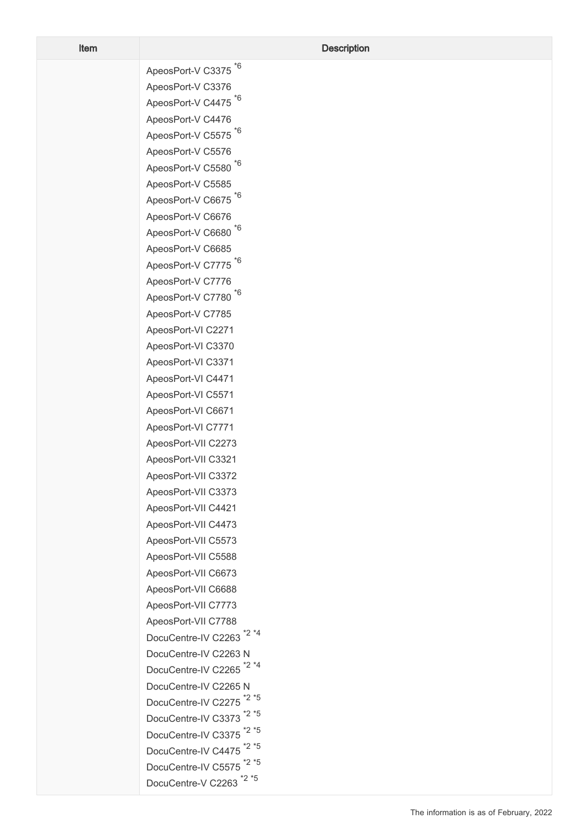ApeosPort-V C3375<sup>\*6</sup> ApeosPort-V C3376 ApeosPort-V C4475<sup>\*6</sup> ApeosPort-V C4476 ApeosPort-V C5575<sup>\*6</sup> ApeosPort-V C5576 ApeosPort-V C5580<sup>\*6</sup> ApeosPort-V C5585 ApeosPort-V C6675<sup>\*6</sup> ApeosPort-V C6676 ApeosPort-V C6680<sup>\*6</sup> ApeosPort-V C6685 ApeosPort-V C7775<sup>\*6</sup> ApeosPort-V C7776 ApeosPort-V C7780<sup>\*6</sup> ApeosPort-V C7785 ApeosPort-VI C2271 ApeosPort-VI C3370 ApeosPort-VI C3371 ApeosPort-VI C4471 ApeosPort-VI C5571 ApeosPort-VI C6671 ApeosPort-VI C7771 ApeosPort-VII C2273 ApeosPort-VII C3321 ApeosPort-VII C3372 ApeosPort-VII C3373 ApeosPort-VII C4421 ApeosPort-VII C4473 ApeosPort-VII C5573 ApeosPort-VII C5588 ApeosPort-VII C6673 ApeosPort-VII C6688 ApeosPort-VII C7773 ApeosPort-VII C7788 DocuCentre-IV C2263<sup>\*2 \*4</sup> DocuCentre-IV C2263 N DocuCentre-IV C2265<sup>\*2\*4</sup> DocuCentre-IV C2265 N DocuCentre-IV C2275<sup>\*2\*5</sup> DocuCentre-IV C3373<sup>\*2\*5</sup> DocuCentre-IV C3375<sup>\*2</sup><sup>\*5</sup> DocuCentre-IV C4475<sup>\*2</sup>\*5 DocuCentre-IV C5575<sup>\*2</sup><sup>\*5</sup> DocuCentre-V C2263<sup>\*2\*5</sup>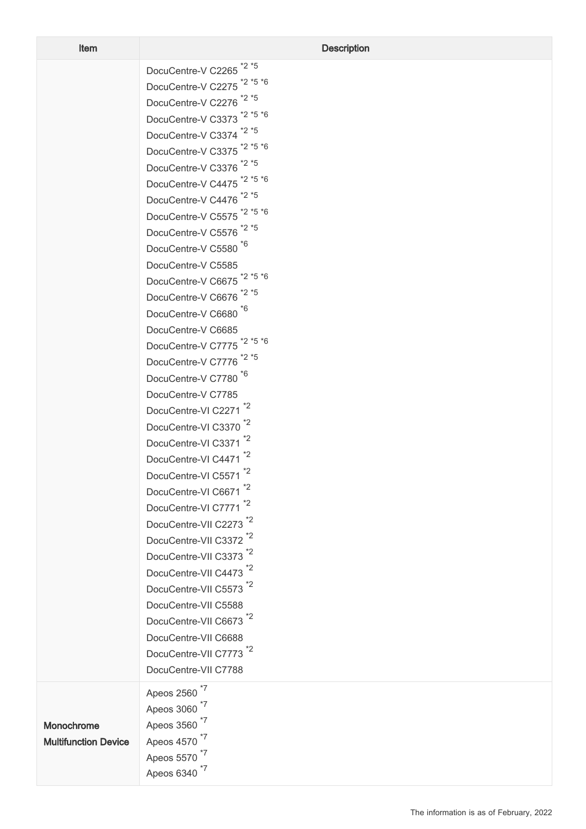|                             | *2 *5<br>DocuCentre-V C2265            |
|-----------------------------|----------------------------------------|
|                             | $*2 *5 *6$<br>DocuCentre-V C2275       |
|                             | $*2 *5$<br>DocuCentre-V C2276          |
|                             | $*2 *5 *6$<br>DocuCentre-V C3373       |
|                             | $*2 *5$<br>DocuCentre-V C3374          |
|                             | $*2 *5 *6$<br>DocuCentre-V C3375       |
|                             | *2 *5<br>DocuCentre-V C3376            |
|                             | $*2 *5 *6$<br>DocuCentre-V C4475       |
|                             | *2 *5<br>DocuCentre-V C4476            |
|                             | $*2 *5 *6$<br>DocuCentre-V C5575       |
|                             | *2 *5<br>DocuCentre-V C5576            |
|                             | DocuCentre-V C5580                     |
|                             | DocuCentre-V C5585                     |
|                             | DocuCentre-V C6675 <sup>*2 *5</sup> *6 |
|                             | DocuCentre-V C6676 <sup>*2 *5</sup>    |
|                             | *6<br>DocuCentre-V C6680               |
|                             | DocuCentre-V C6685                     |
|                             | DocuCentre-V C7775 <sup>*2 *5</sup> *6 |
|                             | *2 *5<br>DocuCentre-V C7776            |
|                             | DocuCentre-V C7780                     |
|                             | DocuCentre-V C7785                     |
|                             | *2<br>DocuCentre-VI C2271              |
|                             | *2<br>DocuCentre-VI C3370              |
|                             | *2<br>DocuCentre-VI C3371              |
|                             | *2<br>DocuCentre-VI C4471              |
|                             | *2<br>DocuCentre-VI C5571              |
|                             | *2<br>DocuCentre-VI C6671              |
|                             | *2<br>DocuCentre-VI C7771              |
|                             | DocuCentre-VII C2273                   |
|                             | *2<br>DocuCentre-VII C3372             |
|                             | *2<br>DocuCentre-VII C3373             |
|                             | 2'<br>DocuCentre-VII C4473             |
|                             | DocuCentre-VII C5573                   |
|                             | DocuCentre-VII C5588                   |
|                             | DocuCentre-VII C6673 <sup>*2</sup>     |
|                             | DocuCentre-VII C6688                   |
|                             | DocuCentre-VII C7773 <sup>*2</sup>     |
|                             | DocuCentre-VII C7788                   |
|                             | *7                                     |
|                             | Apeos 2560<br>*7<br>Apeos 3060         |
|                             | *7<br>Apeos 3560                       |
| Monochrome                  | $*7$<br>Apeos 4570                     |
| <b>Multifunction Device</b> |                                        |

Apeos 5570<sup>\*7</sup>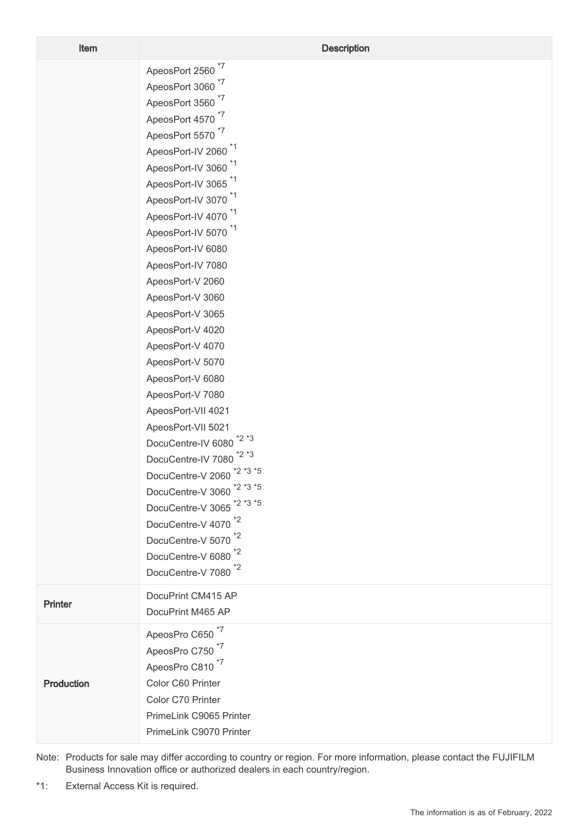| Item       | <b>Description</b>                                                                                                                                                                                                                                                                                                                                                                                                                                                                                                                                                                                                                                                                                                                                                                                                                                                                                                                                                            |
|------------|-------------------------------------------------------------------------------------------------------------------------------------------------------------------------------------------------------------------------------------------------------------------------------------------------------------------------------------------------------------------------------------------------------------------------------------------------------------------------------------------------------------------------------------------------------------------------------------------------------------------------------------------------------------------------------------------------------------------------------------------------------------------------------------------------------------------------------------------------------------------------------------------------------------------------------------------------------------------------------|
|            | ApeosPort 2560 <sup>*7</sup><br>ApeosPort 3060 <sup>*7</sup><br>ApeosPort 3560 <sup>*7</sup><br>ApeosPort 4570 <sup>*7</sup><br>ApeosPort 5570 <sup>*7</sup><br>ApeosPort-IV 2060 <sup>*1</sup><br>ApeosPort-IV 3060 <sup>*1</sup><br>ApeosPort-IV 3065 <sup>*1</sup><br>ApeosPort-IV 3070 <sup>*1</sup><br>ApeosPort-IV 4070 <sup>*1</sup><br>ApeosPort-IV 5070 <sup>*1</sup><br>ApeosPort-IV 6080<br>ApeosPort-IV 7080<br>ApeosPort-V 2060<br>ApeosPort-V 3060<br>ApeosPort-V 3065<br>ApeosPort-V 4020<br>ApeosPort-V 4070<br>ApeosPort-V 5070<br>ApeosPort-V 6080<br>ApeosPort-V 7080<br>ApeosPort-VII 4021<br>ApeosPort-VII 5021<br>$*2 *3$<br>DocuCentre-IV 6080<br>$*2 *3$<br>DocuCentre-IV 7080<br>DocuCentre-V 2060 <sup>*2 *3</sup> *5<br>DocuCentre-V 3060 <sup>*2 *3</sup> *5<br>DocuCentre-V 3065 <sup>*2 *3</sup> *5<br>DocuCentre-V 4070 <sup>*2</sup><br>DocuCentre-V 5070 <sup>*2</sup><br>DocuCentre-V 6080 <sup>*2</sup><br>DocuCentre-V 7080 <sup>*2</sup> |
| Printer    | DocuPrint CM415 AP<br>DocuPrint M465 AP                                                                                                                                                                                                                                                                                                                                                                                                                                                                                                                                                                                                                                                                                                                                                                                                                                                                                                                                       |
| Production | ApeosPro C650 <sup>*7</sup><br>ApeosPro C750 <sup>*7</sup><br>ApeosPro C810 <sup>*7</sup><br>Color C60 Printer<br>Color C70 Printer<br>PrimeLink C9065 Printer<br>PrimeLink C9070 Printer                                                                                                                                                                                                                                                                                                                                                                                                                                                                                                                                                                                                                                                                                                                                                                                     |

Note: Products for sale may differ according to country or region. For more information, please contact the FUJIFILM Business Innovation office or authorized dealers in each country/region.

\*1: External Access Kit is required.